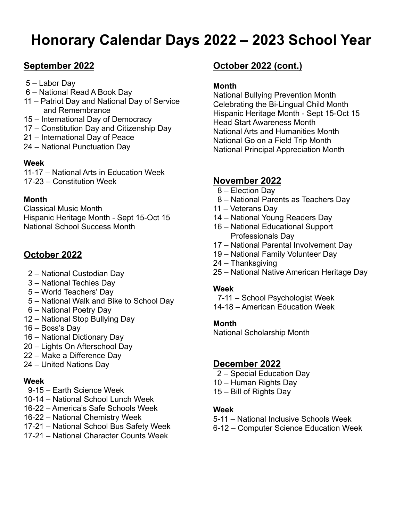# **Honorary Calendar Days 2022 – 2023 School Year**

# **September 2022**

- 5 Labor Day
- 6 National Read A Book Day
- 11 Patriot Day and National Day of Service and Remembrance
- 15 International Day of Democracy
- 17 Constitution Day and Citizenship Day
- 21 International Day of Peace
- 24 National Punctuation Day

#### **Week**

11-17 – National Arts in Education Week 17-23 – Constitution Week

## **Month**

Classical Music Month Hispanic Heritage Month - Sept 15-Oct 15 National School Success Month

# **October 2022**

- 2 National Custodian Day
- 3 National Techies Day
- 5 World Teachers' Day
- 5 National Walk and Bike to School Day
- 6 National Poetry Day
- 12 National Stop Bullying Day
- 16 Boss's Day
- 16 National Dictionary Day
- 20 Lights On Afterschool Day
- 22 Make a Difference Day
- 24 United Nations Day

## **Week**

- 9-15 Earth Science Week
- 10-14 National School Lunch Week
- 16-22 America's Safe Schools Week
- 16-22 National Chemistry Week
- 17-21 National School Bus Safety Week
- 17-21 National Character Counts Week

# **October 2022 (cont.)**

#### **Month**

National Bullying Prevention Month Celebrating the Bi-Lingual Child Month Hispanic Heritage Month - Sept 15-Oct 15 Head Start Awareness Month National Arts and Humanities Month National Go on a Field Trip Month National Principal Appreciation Month

# **November 2022**

- 8 Election Day
- 8 National Parents as Teachers Day
- 11 Veterans Day
- 14 National Young Readers Day
- 16 National Educational Support Professionals Day
- 17 National Parental Involvement Day
- 19 National Family Volunteer Day
- 24 Thanksgiving
- 25 National Native American Heritage Day

#### **Week**

- 7-11 School Psychologist Week
- 14-18 American Education Week

#### **Month**

National Scholarship Month

## **December 2022**

- 2 Special Education Day
- 10 Human Rights Day
- 15 Bill of Rights Day

#### **Week**

- 5-11 National Inclusive Schools Week
- 6-12 Computer Science Education Week